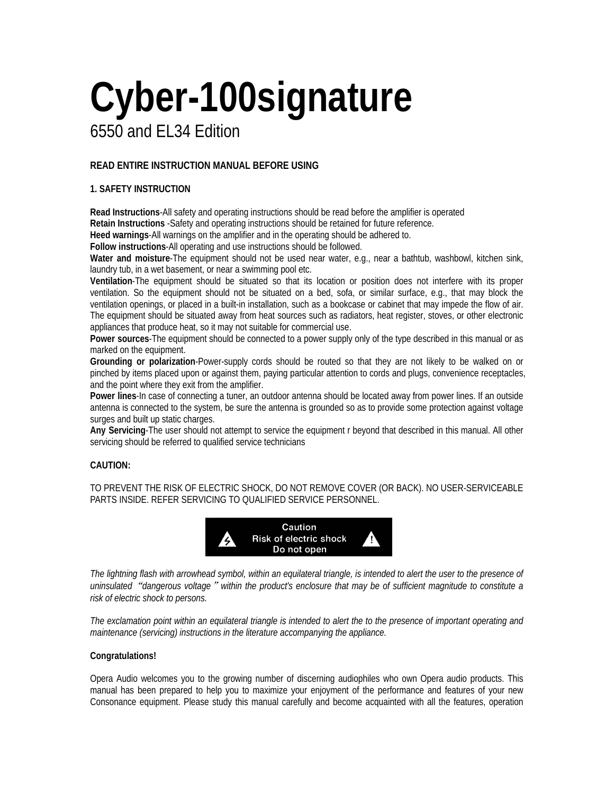# **Cyber-100signature**

# 6550 and EL34 Edition

# **READ ENTIRE INSTRUCTION MANUAL BEFORE USING**

# **1. SAFETY INSTRUCTION**

**Read Instructions**-All safety and operating instructions should be read before the amplifier is operated **Retain Instructions** -Safety and operating instructions should be retained for future reference.

**Heed warnings**-All warnings on the amplifier and in the operating should be adhered to.

**Follow instructions**-All operating and use instructions should be followed.

**Water and moisture**-The equipment should not be used near water, e.g., near a bathtub, washbowl, kitchen sink, laundry tub, in a wet basement, or near a swimming pool etc.

**Ventilation**-The equipment should be situated so that its location or position does not interfere with its proper ventilation. So the equipment should not be situated on a bed, sofa, or similar surface, e.g., that may block the ventilation openings, or placed in a built-in installation, such as a bookcase or cabinet that may impede the flow of air. The equipment should be situated away from heat sources such as radiators, heat register, stoves, or other electronic appliances that produce heat, so it may not suitable for commercial use.

**Power sources**-The equipment should be connected to a power supply only of the type described in this manual or as marked on the equipment.

**Grounding or polarization**-Power-supply cords should be routed so that they are not likely to be walked on or pinched by items placed upon or against them, paying particular attention to cords and plugs, convenience receptacles, and the point where they exit from the amplifier.

**Power lines**-In case of connecting a tuner, an outdoor antenna should be located away from power lines. If an outside antenna is connected to the system, be sure the antenna is grounded so as to provide some protection against voltage surges and built up static charges.

**Any Servicing**-The user should not attempt to service the equipment r beyond that described in this manual. All other servicing should be referred to qualified service technicians

# **CAUTION:**

TO PREVENT THE RISK OF ELECTRIC SHOCK, DO NOT REMOVE COVER (OR BACK). NO USER-SERVICEABLE PARTS INSIDE. REFER SERVICING TO QUALIFIED SERVICE PERSONNEL.



*The lightning flash with arrowhead symbol, within an equilateral triangle, is intended to alert the user to the presence of uninsulated*"*dangerous voltage*"*within the product's enclosure that may be of sufficient magnitude to constitute a risk of electric shock to persons.* 

*The exclamation point within an equilateral triangle is intended to alert the to the presence of important operating and maintenance (servicing) instructions in the literature accompanying the appliance.* 

# **Congratulations!**

Opera Audio welcomes you to the growing number of discerning audiophiles who own Opera audio products. This manual has been prepared to help you to maximize your enjoyment of the performance and features of your new Consonance equipment. Please study this manual carefully and become acquainted with all the features, operation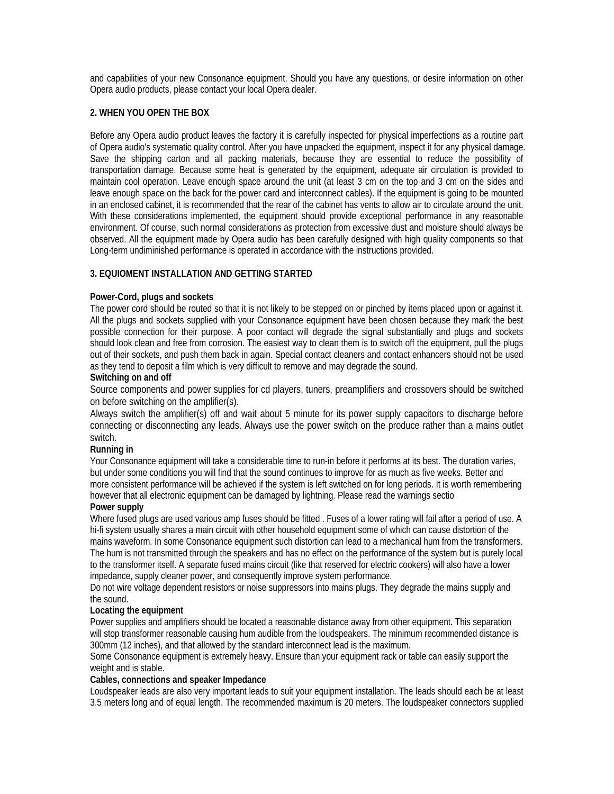and capabilities of your new Consonance equipment. Should you have any questions, or desire information on other Opera audio products, please contact your local Opera dealer.

# **2. WHEN YOU OPEN THE BOX**

Before any Opera audio product leaves the factory it is carefully inspected for physical imperfections as a routine part of Opera audio's systematic quality control. After you have unpacked the equipment, inspect it for any physical damage. Save the shipping carton and all packing materials, because they are essential to reduce the possibility of transportation damage. Because some heat is generated by the equipment, adequate air circulation is provided to maintain cool operation. Leave enough space around the unit (at least 3 cm on the top and 3 cm on the sides and leave enough space on the back for the power card and interconnect cables). If the equipment is going to be mounted in an enclosed cabinet, it is recommended that the rear of the cabinet has vents to allow air to circulate around the unit. With these considerations implemented, the equipment should provide exceptional performance in any reasonable environment. Of course, such normal considerations as protection from excessive dust and moisture should always be observed. All the equipment made by Opera audio has been carefully designed with high quality components so that Long-term undiminished performance is operated in accordance with the instructions provided.

# **3. EQUIOMENT INSTALLATION AND GETTING STARTED**

# **Power-Cord, plugs and sockets**

The power cord should be routed so that it is not likely to be stepped on or pinched by items placed upon or against it. All the plugs and sockets supplied with your Consonance equipment have been chosen because they mark the best possible connection for their purpose. A poor contact will degrade the signal substantially and plugs and sockets should look clean and free from corrosion. The easiest way to clean them is to switch off the equipment, pull the plugs out of their sockets, and push them back in again. Special contact cleaners and contact enhancers should not be used as they tend to deposit a film which is very difficult to remove and may degrade the sound.

# **Switching on and off**

Source components and power supplies for cd players, tuners, preamplifiers and crossovers should be switched on before switching on the amplifier(s).

Always switch the amplifier(s) off and wait about 5 minute for its power supply capacitors to discharge before connecting or disconnecting any leads. Always use the power switch on the produce rather than a mains outlet switch.

# **Running in**

Your Consonance equipment will take a considerable time to run-in before it performs at its best. The duration varies, but under some conditions you will find that the sound continues to improve for as much as five weeks. Better and more consistent performance will be achieved if the system is left switched on for long periods. It is worth remembering however that all electronic equipment can be damaged by lightning. Please read the warnings sectio

# **Power supply**

Where fused plugs are used various amp fuses should be fitted . Fuses of a lower rating will fail after a period of use. A hi-fi system usually shares a main circuit with other household equipment some of which can cause distortion of the mains waveform. In some Consonance equipment such distortion can lead to a mechanical hum from the transformers. The hum is not transmitted through the speakers and has no effect on the performance of the system but is purely local to the transformer itself. A separate fused mains circuit (like that reserved for electric cookers) will also have a lower impedance, supply cleaner power, and consequently improve system performance.

Do not wire voltage dependent resistors or noise suppressors into mains plugs. They degrade the mains supply and the sound.

# **Locating the equipment**

Power supplies and amplifiers should be located a reasonable distance away from other equipment. This separation will stop transformer reasonable causing hum audible from the loudspeakers. The minimum recommended distance is 300mm (12 inches), and that allowed by the standard interconnect lead is the maximum.

Some Consonance equipment is extremely heavy. Ensure than your equipment rack or table can easily support the weight and is stable.

# **Cables, connections and speaker Impedance**

Loudspeaker leads are also very important leads to suit your equipment installation. The leads should each be at least 3.5 meters long and of equal length. The recommended maximum is 20 meters. The loudspeaker connectors supplied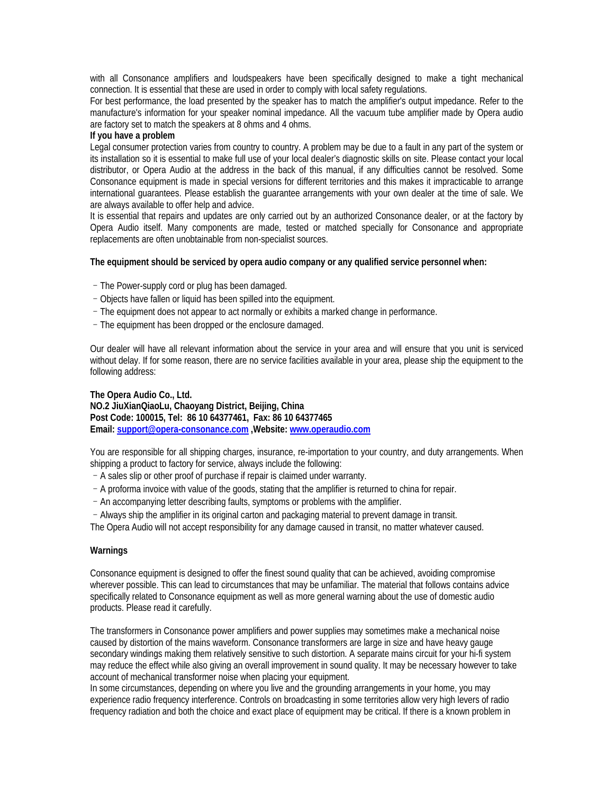with all Consonance amplifiers and loudspeakers have been specifically designed to make a tight mechanical connection. It is essential that these are used in order to comply with local safety regulations.

For best performance, the load presented by the speaker has to match the amplifier's output impedance. Refer to the manufacture's information for your speaker nominal impedance. All the vacuum tube amplifier made by Opera audio are factory set to match the speakers at 8 ohms and 4 ohms.

#### **If you have a problem**

Legal consumer protection varies from country to country. A problem may be due to a fault in any part of the system or its installation so it is essential to make full use of your local dealer's diagnostic skills on site. Please contact your local distributor, or Opera Audio at the address in the back of this manual, if any difficulties cannot be resolved. Some Consonance equipment is made in special versions for different territories and this makes it impracticable to arrange international guarantees. Please establish the guarantee arrangements with your own dealer at the time of sale. We are always available to offer help and advice.

It is essential that repairs and updates are only carried out by an authorized Consonance dealer, or at the factory by Opera Audio itself. Many components are made, tested or matched specially for Consonance and appropriate replacements are often unobtainable from non-specialist sources.

# **The equipment should be serviced by opera audio company or any qualified service personnel when:**

- –The Power-supply cord or plug has been damaged.
- –Objects have fallen or liquid has been spilled into the equipment.
- –The equipment does not appear to act normally or exhibits a marked change in performance.
- –The equipment has been dropped or the enclosure damaged.

Our dealer will have all relevant information about the service in your area and will ensure that you unit is serviced without delay. If for some reason, there are no service facilities available in your area, please ship the equipment to the following address:

**The Opera Audio Co., Ltd. NO.2 JiuXianQiaoLu, Chaoyang District, Beijing, China Post Code: 100015, Tel: 86 10 64377461, Fax: 86 10 64377465 Email: support@opera-consonance.com ,Website: www.operaudio.com**

You are responsible for all shipping charges, insurance, re-importation to your country, and duty arrangements. When shipping a product to factory for service, always include the following:

- –A sales slip or other proof of purchase if repair is claimed under warranty.
- –A proforma invoice with value of the goods, stating that the amplifier is returned to china for repair.
- –An accompanying letter describing faults, symptoms or problems with the amplifier.

–Always ship the amplifier in its original carton and packaging material to prevent damage in transit. The Opera Audio will not accept responsibility for any damage caused in transit, no matter whatever caused.

# **Warnings**

Consonance equipment is designed to offer the finest sound quality that can be achieved, avoiding compromise wherever possible. This can lead to circumstances that may be unfamiliar. The material that follows contains advice specifically related to Consonance equipment as well as more general warning about the use of domestic audio products. Please read it carefully.

The transformers in Consonance power amplifiers and power supplies may sometimes make a mechanical noise caused by distortion of the mains waveform. Consonance transformers are large in size and have heavy gauge secondary windings making them relatively sensitive to such distortion. A separate mains circuit for your hi-fi system may reduce the effect while also giving an overall improvement in sound quality. It may be necessary however to take account of mechanical transformer noise when placing your equipment.

In some circumstances, depending on where you live and the grounding arrangements in your home, you may experience radio frequency interference. Controls on broadcasting in some territories allow very high levers of radio frequency radiation and both the choice and exact place of equipment may be critical. If there is a known problem in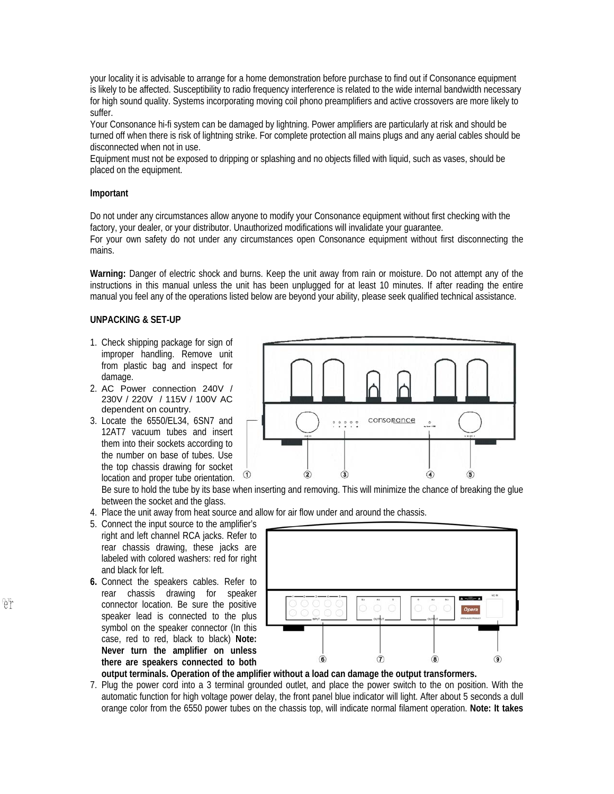your locality it is advisable to arrange for a home demonstration before purchase to find out if Consonance equipment is likely to be affected. Susceptibility to radio frequency interference is related to the wide internal bandwidth necessary for high sound quality. Systems incorporating moving coil phono preamplifiers and active crossovers are more likely to suffer.

Your Consonance hi-fi system can be damaged by lightning. Power amplifiers are particularly at risk and should be turned off when there is risk of lightning strike. For complete protection all mains plugs and any aerial cables should be disconnected when not in use.

Equipment must not be exposed to dripping or splashing and no objects filled with liquid, such as vases, should be placed on the equipment.

#### **Important**

Do not under any circumstances allow anyone to modify your Consonance equipment without first checking with the factory, your dealer, or your distributor. Unauthorized modifications will invalidate your guarantee.

For your own safety do not under any circumstances open Consonance equipment without first disconnecting the mains.

**Warning:** Danger of electric shock and burns. Keep the unit away from rain or moisture. Do not attempt any of the instructions in this manual unless the unit has been unplugged for at least 10 minutes. If after reading the entire manual you feel any of the operations listed below are beyond your ability, please seek qualified technical assistance.

# **UNPACKING & SET-UP**

- 1. Check shipping package for sign of improper handling. Remove unit from plastic bag and inspect for damage.
- 2. AC Power connection 240V / 230V / 220V / 115V / 100V AC dependent on country.
- 3. Locate the 6550/EL34, 6SN7 and 12AT7 vacuum tubes and insert them into their sockets according to the number on base of tubes. Use the top chassis drawing for socket location and proper tube orientation.



Be sure to hold the tube by its base when inserting and removing. This will minimize the chance of breaking the glue between the socket and the glass.

- 4. Place the unit away from heat source and allow for air flow under and around the chassis.
- 5. Connect the input source to the amplifier's right and left channel RCA jacks. Refer to rear chassis drawing, these jacks are labeled with colored washers: red for right and black for left.
- **6.** Connect the speakers cables. Refer to rear chassis drawing for speaker connector location. Be sure the positive speaker lead is connected to the plus symbol on the speaker connector (In this case, red to red, black to black) **Note: Never turn the amplifier on unless there are speakers connected to both**



**output terminals. Operation of the amplifier without a load can damage the output transformers.** 

7. Plug the power cord into a 3 terminal grounded outlet, and place the power switch to the on position. With the automatic function for high voltage power delay, the front panel blue indicator will light. After about 5 seconds a dull orange color from the 6550 power tubes on the chassis top, will indicate normal filament operation. **Note: It takes**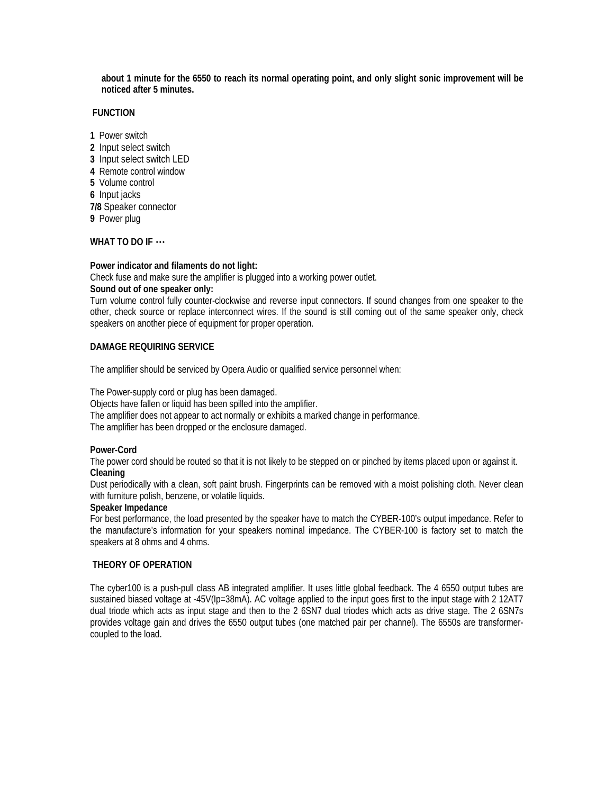**about 1 minute for the 6550 to reach its normal operating point, and only slight sonic improvement will be noticed after 5 minutes.**

#### **FUNCTION**

- **1** Power switch
- **2** Input select switch
- **3** Input select switch LED
- **4** Remote control window
- **5** Volume control
- **6** Input jacks

**7/8** Speaker connector

**9** Power plug

# **WHAT TO DO IF** …

# **Power indicator and filaments do not light:**

Check fuse and make sure the amplifier is plugged into a working power outlet.

# **Sound out of one speaker only:**

Turn volume control fully counter-clockwise and reverse input connectors. If sound changes from one speaker to the other, check source or replace interconnect wires. If the sound is still coming out of the same speaker only, check speakers on another piece of equipment for proper operation.

# **DAMAGE REQUIRING SERVICE**

The amplifier should be serviced by Opera Audio or qualified service personnel when:

The Power-supply cord or plug has been damaged. Objects have fallen or liquid has been spilled into the amplifier. The amplifier does not appear to act normally or exhibits a marked change in performance. The amplifier has been dropped or the enclosure damaged.

#### **Power-Cord**

The power cord should be routed so that it is not likely to be stepped on or pinched by items placed upon or against it. **Cleaning** 

Dust periodically with a clean, soft paint brush. Fingerprints can be removed with a moist polishing cloth. Never clean with furniture polish, benzene, or volatile liquids.

# **Speaker Impedance**

For best performance, the load presented by the speaker have to match the CYBER-100's output impedance. Refer to the manufacture's information for your speakers nominal impedance. The CYBER-100 is factory set to match the speakers at 8 ohms and 4 ohms.

# **THEORY OF OPERATION**

The cyber100 is a push-pull class AB integrated amplifier. It uses little global feedback. The 4 6550 output tubes are sustained biased voltage at -45V(Ip=38mA). AC voltage applied to the input goes first to the input stage with 2 12AT7 dual triode which acts as input stage and then to the 2 6SN7 dual triodes which acts as drive stage. The 2 6SN7s provides voltage gain and drives the 6550 output tubes (one matched pair per channel). The 6550s are transformercoupled to the load.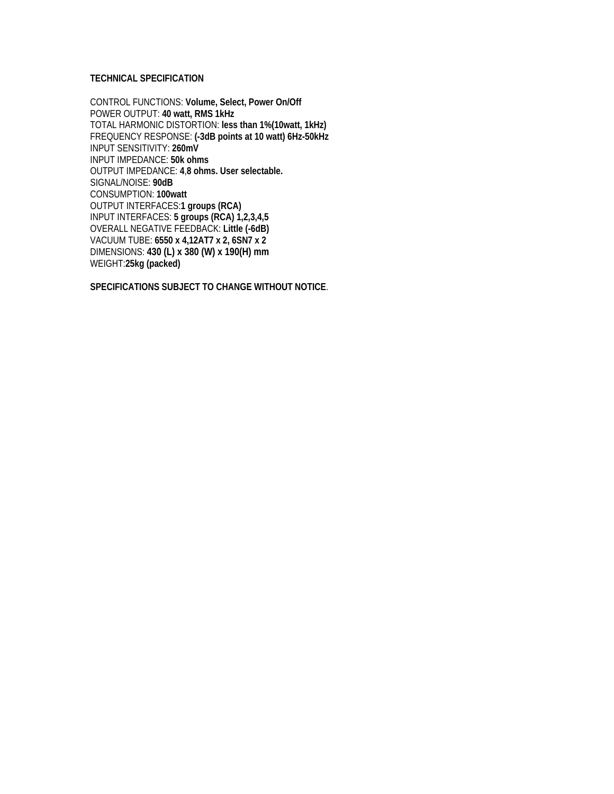# **TECHNICAL SPECIFICATION**

CONTROL FUNCTIONS: **Volume, Select, Power On/Off** POWER OUTPUT: **40 watt, RMS 1kHz**  TOTAL HARMONIC DISTORTION: **less than 1%(10watt, 1kHz)** FREQUENCY RESPONSE: **(-3dB points at 10 watt) 6Hz-50kHz** INPUT SENSITIVITY: **260mV** INPUT IMPEDANCE: **50k ohms**  OUTPUT IMPEDANCE: **4**,**8 ohms. User selectable.**  SIGNAL/NOISE: **90dB** CONSUMPTION: **100watt** OUTPUT INTERFACES:**1 groups (RCA)**  INPUT INTERFACES: **5 groups (RCA) 1,2,3,4,5**  OVERALL NEGATIVE FEEDBACK: **Little (-6dB)**  VACUUM TUBE: **6550 x 4,12AT7 x 2, 6SN7 x 2**  DIMENSIONS: **430 (L) x 380 (W) x 190(H) mm** WEIGHT:**25kg (packed)** 

**SPECIFICATIONS SUBJECT TO CHANGE WITHOUT NOTICE**.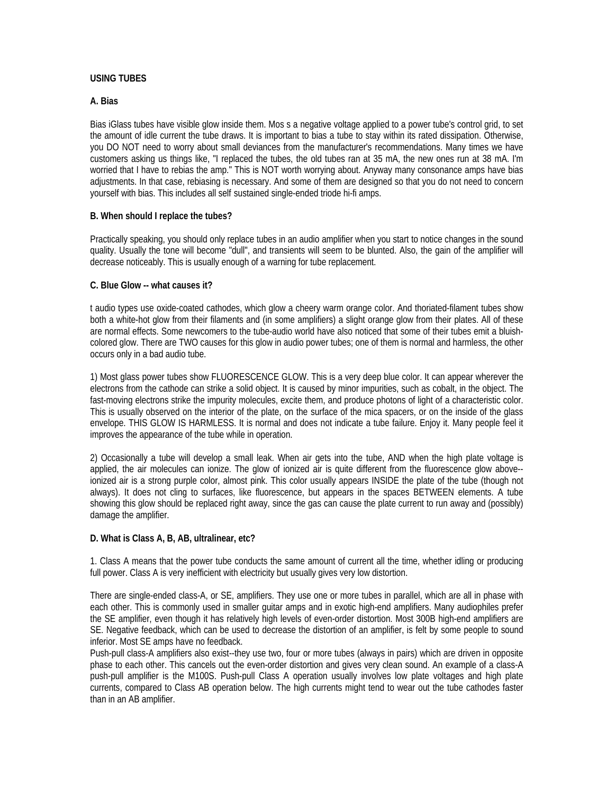# **USING TUBES**

# **A. Bias**

Bias iGlass tubes have visible glow inside them. Mos s a negative voltage applied to a power tube's control grid, to set the amount of idle current the tube draws. It is important to bias a tube to stay within its rated dissipation. Otherwise, you DO NOT need to worry about small deviances from the manufacturer's recommendations. Many times we have customers asking us things like, "I replaced the tubes, the old tubes ran at 35 mA, the new ones run at 38 mA. I'm worried that I have to rebias the amp." This is NOT worth worrying about. Anyway many consonance amps have bias adjustments. In that case, rebiasing is necessary. And some of them are designed so that you do not need to concern yourself with bias. This includes all self sustained single-ended triode hi-fi amps.

# **B. When should I replace the tubes?**

Practically speaking, you should only replace tubes in an audio amplifier when you start to notice changes in the sound quality. Usually the tone will become "dull", and transients will seem to be blunted. Also, the gain of the amplifier will decrease noticeably. This is usually enough of a warning for tube replacement.

# **C. Blue Glow -- what causes it?**

t audio types use oxide-coated cathodes, which glow a cheery warm orange color. And thoriated-filament tubes show both a white-hot glow from their filaments and (in some amplifiers) a slight orange glow from their plates. All of these are normal effects. Some newcomers to the tube-audio world have also noticed that some of their tubes emit a bluishcolored glow. There are TWO causes for this glow in audio power tubes; one of them is normal and harmless, the other occurs only in a bad audio tube.

1) Most glass power tubes show FLUORESCENCE GLOW. This is a very deep blue color. It can appear wherever the electrons from the cathode can strike a solid object. It is caused by minor impurities, such as cobalt, in the object. The fast-moving electrons strike the impurity molecules, excite them, and produce photons of light of a characteristic color. This is usually observed on the interior of the plate, on the surface of the mica spacers, or on the inside of the glass envelope. THIS GLOW IS HARMLESS. It is normal and does not indicate a tube failure. Enjoy it. Many people feel it improves the appearance of the tube while in operation.

2) Occasionally a tube will develop a small leak. When air gets into the tube, AND when the high plate voltage is applied, the air molecules can ionize. The glow of ionized air is quite different from the fluorescence glow above- ionized air is a strong purple color, almost pink. This color usually appears INSIDE the plate of the tube (though not always). It does not cling to surfaces, like fluorescence, but appears in the spaces BETWEEN elements. A tube showing this glow should be replaced right away, since the gas can cause the plate current to run away and (possibly) damage the amplifier.

# **D. What is Class A, B, AB, ultralinear, etc?**

1. Class A means that the power tube conducts the same amount of current all the time, whether idling or producing full power. Class A is very inefficient with electricity but usually gives very low distortion.

There are single-ended class-A, or SE, amplifiers. They use one or more tubes in parallel, which are all in phase with each other. This is commonly used in smaller guitar amps and in exotic high-end amplifiers. Many audiophiles prefer the SE amplifier, even though it has relatively high levels of even-order distortion. Most 300B high-end amplifiers are SE. Negative feedback, which can be used to decrease the distortion of an amplifier, is felt by some people to sound inferior. Most SE amps have no feedback.

Push-pull class-A amplifiers also exist--they use two, four or more tubes (always in pairs) which are driven in opposite phase to each other. This cancels out the even-order distortion and gives very clean sound. An example of a class-A push-pull amplifier is the M100S. Push-pull Class A operation usually involves low plate voltages and high plate currents, compared to Class AB operation below. The high currents might tend to wear out the tube cathodes faster than in an AB amplifier.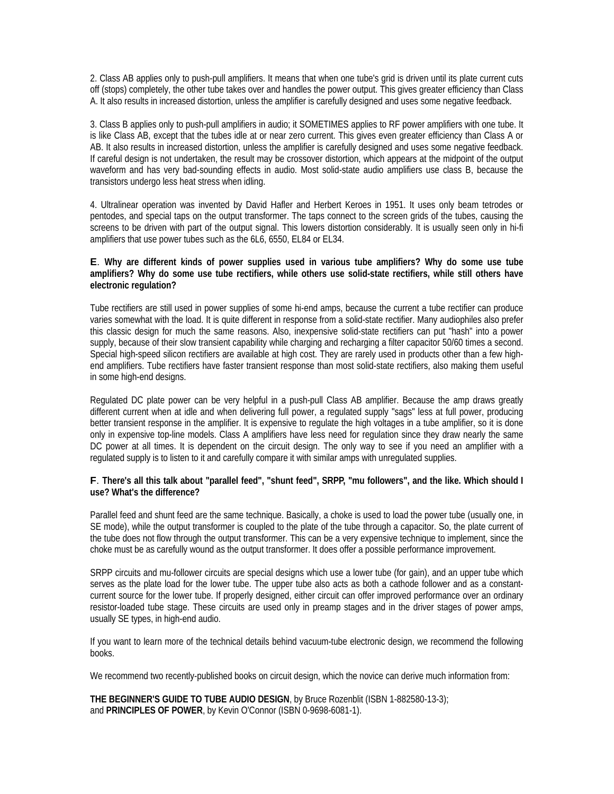2. Class AB applies only to push-pull amplifiers. It means that when one tube's grid is driven until its plate current cuts off (stops) completely, the other tube takes over and handles the power output. This gives greater efficiency than Class A. It also results in increased distortion, unless the amplifier is carefully designed and uses some negative feedback.

3. Class B applies only to push-pull amplifiers in audio; it SOMETIMES applies to RF power amplifiers with one tube. It is like Class AB, except that the tubes idle at or near zero current. This gives even greater efficiency than Class A or AB. It also results in increased distortion, unless the amplifier is carefully designed and uses some negative feedback. If careful design is not undertaken, the result may be crossover distortion, which appears at the midpoint of the output waveform and has very bad-sounding effects in audio. Most solid-state audio amplifiers use class B, because the transistors undergo less heat stress when idling.

4. Ultralinear operation was invented by David Hafler and Herbert Keroes in 1951. It uses only beam tetrodes or pentodes, and special taps on the output transformer. The taps connect to the screen grids of the tubes, causing the screens to be driven with part of the output signal. This lowers distortion considerably. It is usually seen only in hi-fi amplifiers that use power tubes such as the 6L6, 6550, EL84 or EL34.

#### **E**. **Why are different kinds of power supplies used in various tube amplifiers? Why do some use tube amplifiers? Why do some use tube rectifiers, while others use solid-state rectifiers, while still others have electronic regulation?**

Tube rectifiers are still used in power supplies of some hi-end amps, because the current a tube rectifier can produce varies somewhat with the load. It is quite different in response from a solid-state rectifier. Many audiophiles also prefer this classic design for much the same reasons. Also, inexpensive solid-state rectifiers can put "hash" into a power supply, because of their slow transient capability while charging and recharging a filter capacitor 50/60 times a second. Special high-speed silicon rectifiers are available at high cost. They are rarely used in products other than a few highend amplifiers. Tube rectifiers have faster transient response than most solid-state rectifiers, also making them useful in some high-end designs.

Regulated DC plate power can be very helpful in a push-pull Class AB amplifier. Because the amp draws greatly different current when at idle and when delivering full power, a regulated supply "sags" less at full power, producing better transient response in the amplifier. It is expensive to regulate the high voltages in a tube amplifier, so it is done only in expensive top-line models. Class A amplifiers have less need for regulation since they draw nearly the same DC power at all times. It is dependent on the circuit design. The only way to see if you need an amplifier with a regulated supply is to listen to it and carefully compare it with similar amps with unregulated supplies.

#### **F**. **There's all this talk about "parallel feed", "shunt feed", SRPP, "mu followers", and the like. Which should I use? What's the difference?**

Parallel feed and shunt feed are the same technique. Basically, a choke is used to load the power tube (usually one, in SE mode), while the output transformer is coupled to the plate of the tube through a capacitor. So, the plate current of the tube does not flow through the output transformer. This can be a very expensive technique to implement, since the choke must be as carefully wound as the output transformer. It does offer a possible performance improvement.

SRPP circuits and mu-follower circuits are special designs which use a lower tube (for gain), and an upper tube which serves as the plate load for the lower tube. The upper tube also acts as both a cathode follower and as a constantcurrent source for the lower tube. If properly designed, either circuit can offer improved performance over an ordinary resistor-loaded tube stage. These circuits are used only in preamp stages and in the driver stages of power amps, usually SE types, in high-end audio.

If you want to learn more of the technical details behind vacuum-tube electronic design, we recommend the following books.

We recommend two recently-published books on circuit design, which the novice can derive much information from:

**THE BEGINNER'S GUIDE TO TUBE AUDIO DESIGN**, by Bruce Rozenblit (ISBN 1-882580-13-3); and **PRINCIPLES OF POWER**, by Kevin O'Connor (ISBN 0-9698-6081-1).